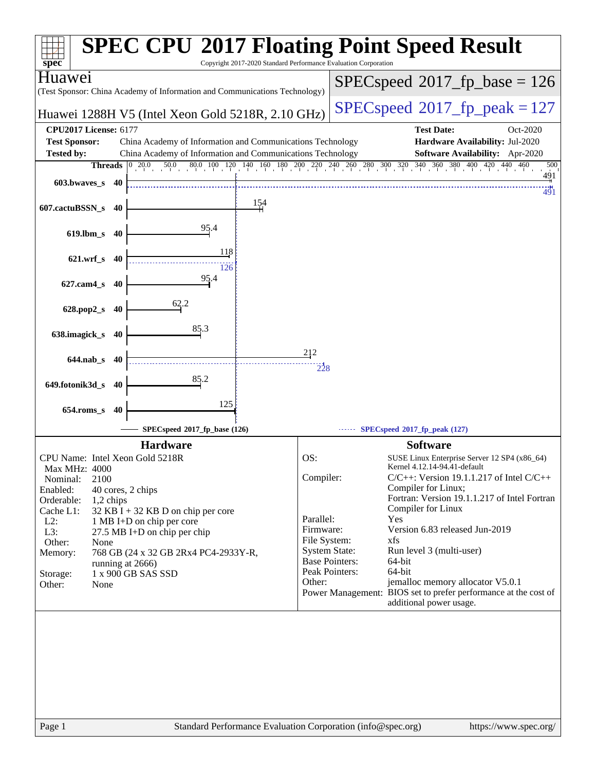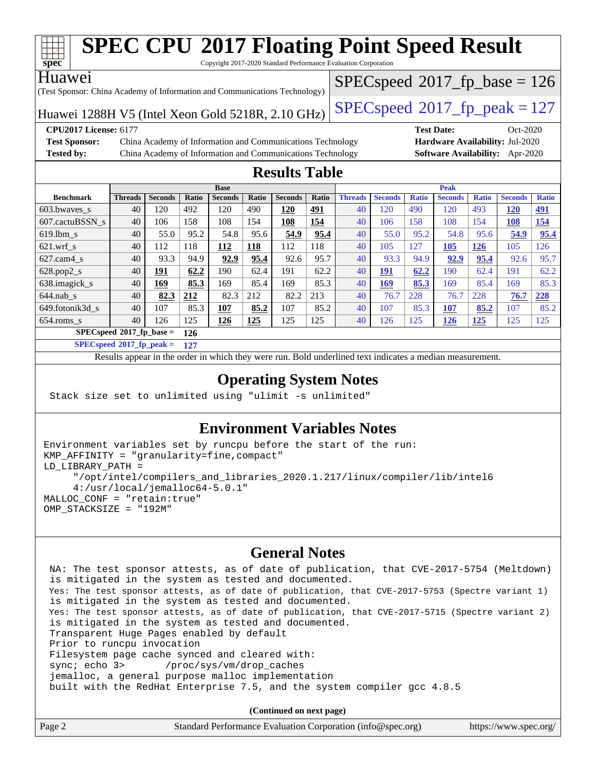

# **[SPEC CPU](http://www.spec.org/auto/cpu2017/Docs/result-fields.html#SPECCPU2017FloatingPointSpeedResult)[2017 Floating Point Speed Result](http://www.spec.org/auto/cpu2017/Docs/result-fields.html#SPECCPU2017FloatingPointSpeedResult)**

Copyright 2017-2020 Standard Performance Evaluation Corporation

#### Huawei

(Test Sponsor: China Academy of Information and Communications Technology)

Huawei 1288H V5 (Intel Xeon Gold 5218R, 2.10 GHz)  $\left|$  [SPECspeed](http://www.spec.org/auto/cpu2017/Docs/result-fields.html#SPECspeed2017fppeak)®[2017\\_fp\\_peak = 1](http://www.spec.org/auto/cpu2017/Docs/result-fields.html#SPECspeed2017fppeak)27  $SPECspeed*2017_fp\_base = 126$  $SPECspeed*2017_fp\_base = 126$ 

**[Test Sponsor:](http://www.spec.org/auto/cpu2017/Docs/result-fields.html#TestSponsor)** China Academy of Information and Communications Technology **[Hardware Availability:](http://www.spec.org/auto/cpu2017/Docs/result-fields.html#HardwareAvailability)** Jul-2020 **[Tested by:](http://www.spec.org/auto/cpu2017/Docs/result-fields.html#Testedby)** China Academy of Information and Communications Technology **[Software Availability:](http://www.spec.org/auto/cpu2017/Docs/result-fields.html#SoftwareAvailability)** Apr-2020

**[CPU2017 License:](http://www.spec.org/auto/cpu2017/Docs/result-fields.html#CPU2017License)** 6177 **[Test Date:](http://www.spec.org/auto/cpu2017/Docs/result-fields.html#TestDate)** Oct-2020

#### **[Results Table](http://www.spec.org/auto/cpu2017/Docs/result-fields.html#ResultsTable)**

|                                   | <b>Base</b>    |                |       |                | <b>Peak</b> |                |            |                |                |              |                |              |                |              |
|-----------------------------------|----------------|----------------|-------|----------------|-------------|----------------|------------|----------------|----------------|--------------|----------------|--------------|----------------|--------------|
| <b>Benchmark</b>                  | <b>Threads</b> | <b>Seconds</b> | Ratio | <b>Seconds</b> | Ratio       | <b>Seconds</b> | Ratio      | <b>Threads</b> | <b>Seconds</b> | <b>Ratio</b> | <b>Seconds</b> | <b>Ratio</b> | <b>Seconds</b> | <b>Ratio</b> |
| 603.bwayes_s                      | 40             | 120            | 492   | 120            | 490         | 120            | <u>491</u> | 40             | 120            | 490          | 120            | 493          | 120            | <u>491</u>   |
| 607.cactuBSSN s                   | 40             | 106            | 158   | 108            | 154         | 108            | 154        | 40             | 106            | 158          | 108            | <b>54</b>    | <u>108</u>     | <u>154</u>   |
| $619.1$ bm s                      | 40             | 55.0           | 95.2  | 54.8           | 95.6        | 54.9           | 95.4       | 40             | 55.0           | 95.2         | 54.8           | 95.6         | 54.9           | 95.4         |
| $621$ .wrf s                      | 40             | 112            | 118   | 112            | 118         | 112            | 118        | 40             | 105            | 127          | 105            | 126          | 105            | 126          |
| $627$ .cam4 s                     | 40             | 93.3           | 94.9  | 92.9           | 95.4        | 92.6           | 95.7       | 40             | 93.3           | 94.9         | 92.9           | 95.4         | 92.6           | 95.7         |
| $628.pop2_s$                      | 40             | 191            | 62.2  | 190            | 62.4        | 191            | 62.2       | 40             | <u> 191</u>    | 62.2         | 190            | 62.4         | 191            | 62.2         |
| 638.imagick_s                     | 40             | 169            | 85.3  | 169            | 85.4        | 169            | 85.3       | 40             | 169            | 85.3         | 169            | 85.4         | 169            | 85.3         |
| $644$ .nab s                      | 40             | 82.3           | 212   | 82.3           | 212         | 82.2           | 213        | 40             | 76.7           | 228          | 76.7           | 228          | 76.7           | 228          |
| 649.fotonik3d s                   | 40             | 107            | 85.3  | 107            | 85.2        | 107            | 85.2       | 40             | 107            | 85.3         | 107            | 85.2         | 107            | 85.2         |
| $654$ .roms s                     | 40             | 126            | 125   | 126            | <u>125</u>  | 125            | 125        | 40             | 126            | 125          | 126            | <u>125</u>   | 125            | 125          |
| $SPECspeed*2017$ fp base =<br>126 |                |                |       |                |             |                |            |                |                |              |                |              |                |              |

**[SPECspeed](http://www.spec.org/auto/cpu2017/Docs/result-fields.html#SPECspeed2017fppeak)[2017\\_fp\\_peak =](http://www.spec.org/auto/cpu2017/Docs/result-fields.html#SPECspeed2017fppeak) 127**

Results appear in the [order in which they were run.](http://www.spec.org/auto/cpu2017/Docs/result-fields.html#RunOrder) Bold underlined text [indicates a median measurement](http://www.spec.org/auto/cpu2017/Docs/result-fields.html#Median).

#### **[Operating System Notes](http://www.spec.org/auto/cpu2017/Docs/result-fields.html#OperatingSystemNotes)**

Stack size set to unlimited using "ulimit -s unlimited"

#### **[Environment Variables Notes](http://www.spec.org/auto/cpu2017/Docs/result-fields.html#EnvironmentVariablesNotes)**

```
Environment variables set by runcpu before the start of the run:
KMP_AFFINITY = "granularity=fine,compact"
LD_LIBRARY_PATH =
      "/opt/intel/compilers_and_libraries_2020.1.217/linux/compiler/lib/intel6
      4:/usr/local/jemalloc64-5.0.1"
MALLOC_CONF = "retain:true"
OMP_STACKSIZE = "192M"
```
#### **[General Notes](http://www.spec.org/auto/cpu2017/Docs/result-fields.html#GeneralNotes)**

 NA: The test sponsor attests, as of date of publication, that CVE-2017-5754 (Meltdown) is mitigated in the system as tested and documented. Yes: The test sponsor attests, as of date of publication, that CVE-2017-5753 (Spectre variant 1) is mitigated in the system as tested and documented. Yes: The test sponsor attests, as of date of publication, that CVE-2017-5715 (Spectre variant 2) is mitigated in the system as tested and documented. Transparent Huge Pages enabled by default Prior to runcpu invocation Filesystem page cache synced and cleared with: sync; echo 3> /proc/sys/vm/drop\_caches jemalloc, a general purpose malloc implementation built with the RedHat Enterprise 7.5, and the system compiler gcc 4.8.5

**(Continued on next page)**

| Page 2 | Standard Performance Evaluation Corporation (info@spec.org) | https://www.spec.org/ |
|--------|-------------------------------------------------------------|-----------------------|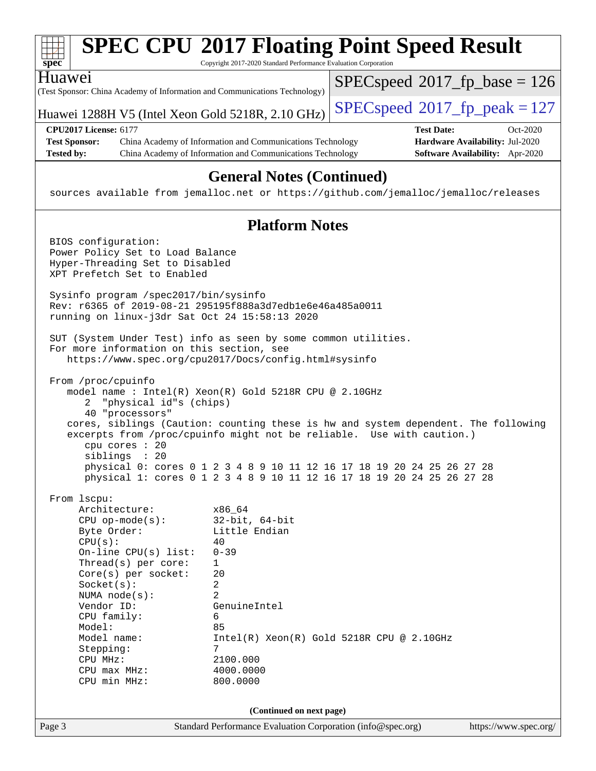| $spec^*$                                                                                                                                                                                                                                                                                                | Copyright 2017-2020 Standard Performance Evaluation Corporation                                                                                             | <b>SPEC CPU®2017 Floating Point Speed Result</b>                                                                                                                                                                                       |
|---------------------------------------------------------------------------------------------------------------------------------------------------------------------------------------------------------------------------------------------------------------------------------------------------------|-------------------------------------------------------------------------------------------------------------------------------------------------------------|----------------------------------------------------------------------------------------------------------------------------------------------------------------------------------------------------------------------------------------|
| Huawei                                                                                                                                                                                                                                                                                                  | (Test Sponsor: China Academy of Information and Communications Technology)                                                                                  | $SPEC speed^{\circ}2017$ fp base = 126                                                                                                                                                                                                 |
|                                                                                                                                                                                                                                                                                                         | Huawei 1288H V5 (Intel Xeon Gold 5218R, 2.10 GHz)                                                                                                           | $SPEC speed^{\circ}2017$ _fp_peak = 127                                                                                                                                                                                                |
| <b>CPU2017 License: 6177</b><br><b>Test Sponsor:</b><br><b>Tested by:</b>                                                                                                                                                                                                                               | China Academy of Information and Communications Technology<br>China Academy of Information and Communications Technology                                    | <b>Test Date:</b><br>Oct-2020<br>Hardware Availability: Jul-2020<br>Software Availability: Apr-2020                                                                                                                                    |
|                                                                                                                                                                                                                                                                                                         | <b>General Notes (Continued)</b>                                                                                                                            | sources available from jemalloc.net or https://github.com/jemalloc/jemalloc/releases                                                                                                                                                   |
|                                                                                                                                                                                                                                                                                                         | <b>Platform Notes</b>                                                                                                                                       |                                                                                                                                                                                                                                        |
| BIOS configuration:<br>Power Policy Set to Load Balance<br>Hyper-Threading Set to Disabled<br>XPT Prefetch Set to Enabled                                                                                                                                                                               |                                                                                                                                                             |                                                                                                                                                                                                                                        |
| Sysinfo program /spec2017/bin/sysinfo                                                                                                                                                                                                                                                                   | Rev: r6365 of 2019-08-21 295195f888a3d7edble6e46a485a0011<br>running on linux-j3dr Sat Oct 24 15:58:13 2020                                                 |                                                                                                                                                                                                                                        |
| For more information on this section, see                                                                                                                                                                                                                                                               | SUT (System Under Test) info as seen by some common utilities.<br>https://www.spec.org/cpu2017/Docs/config.html#sysinfo                                     |                                                                                                                                                                                                                                        |
| From /proc/cpuinfo<br>"physical id"s (chips)<br>2<br>40 "processors"<br>cpu cores : 20<br>siblings : 20                                                                                                                                                                                                 | model name: $Intel(R)$ Xeon $(R)$ Gold 5218R CPU @ 2.10GHz<br>excerpts from /proc/cpuinfo might not be reliable. Use with caution.)                         | cores, siblings (Caution: counting these is hw and system dependent. The following<br>physical 0: cores 0 1 2 3 4 8 9 10 11 12 16 17 18 19 20 24 25 26 27 28<br>physical 1: cores 0 1 2 3 4 8 9 10 11 12 16 17 18 19 20 24 25 26 27 28 |
| From 1scpu:<br>Architecture:<br>$CPU$ op-mode( $s$ ):<br>Byte Order:<br>CPU(s):<br>On-line $CPU(s)$ list:<br>Thread(s) per core:<br>$Core(s)$ per socket:<br>Socket(s):<br>NUMA node(s):<br>Vendor ID:<br>CPU family:<br>Model:<br>Model name:<br>Stepping:<br>CPU MHz:<br>CPU max MHz:<br>CPU min MHz: | x86_64<br>$32$ -bit, $64$ -bit<br>Little Endian<br>40<br>$0 - 39$<br>1<br>20<br>2<br>2<br>GenuineIntel<br>6<br>85<br>7<br>2100.000<br>4000.0000<br>800.0000 | $Intel(R) Xeon(R) Gold 5218R CPU @ 2.10GHz$                                                                                                                                                                                            |
|                                                                                                                                                                                                                                                                                                         | (Continued on next page)                                                                                                                                    |                                                                                                                                                                                                                                        |
| Page 3                                                                                                                                                                                                                                                                                                  | Standard Performance Evaluation Corporation (info@spec.org)                                                                                                 | https://www.spec.org/                                                                                                                                                                                                                  |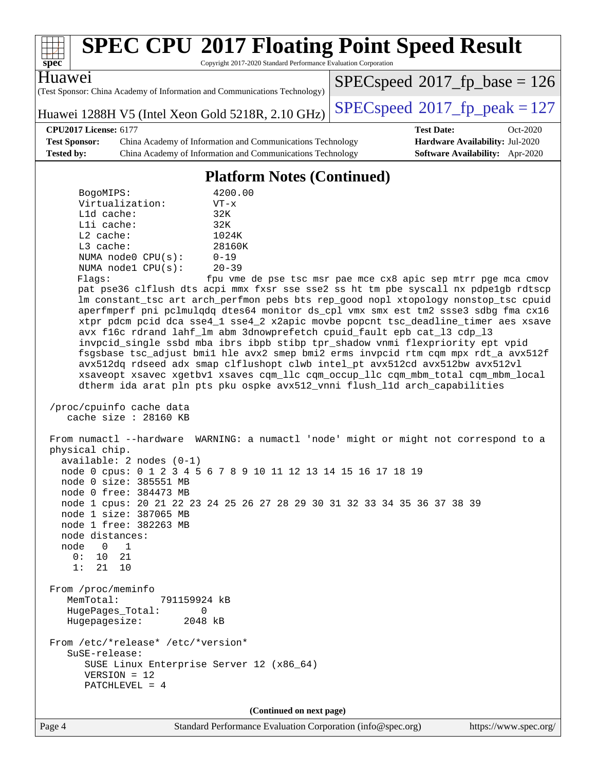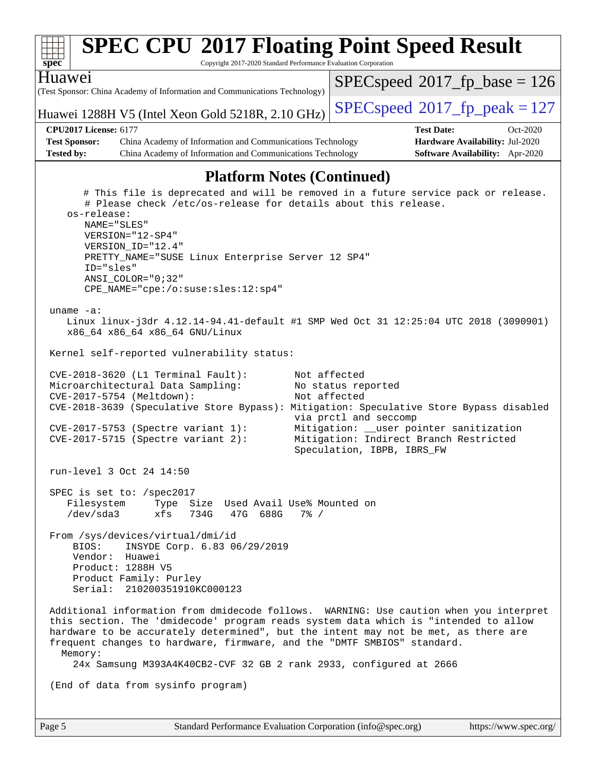| Huawei<br>$SPEC speed^{\circ}2017$ fp base = 126<br>(Test Sponsor: China Academy of Information and Communications Technology)<br>$SPEC speed^{\circ}2017$ fp peak = 127<br>Huawei 1288H V5 (Intel Xeon Gold 5218R, 2.10 GHz)<br><b>CPU2017 License: 6177</b><br><b>Test Date:</b><br>Oct-2020<br><b>Test Sponsor:</b><br>Hardware Availability: Jul-2020<br>China Academy of Information and Communications Technology<br><b>Tested by:</b><br>China Academy of Information and Communications Technology<br>Software Availability: Apr-2020<br><b>Platform Notes (Continued)</b><br># This file is deprecated and will be removed in a future service pack or release.<br># Please check /etc/os-release for details about this release.<br>os-release:<br>NAME="SLES"<br>VERSION="12-SP4"<br>VERSION_ID="12.4"<br>PRETTY_NAME="SUSE Linux Enterprise Server 12 SP4"<br>ID="sles"<br>ANSI COLOR="0;32"<br>CPE_NAME="cpe:/o:suse:sles:12:sp4"<br>uname $-a$ :<br>Linux linux-j3dr 4.12.14-94.41-default #1 SMP Wed Oct 31 12:25:04 UTC 2018 (3090901)<br>x86_64 x86_64 x86_64 GNU/Linux<br>Kernel self-reported vulnerability status:<br>Not affected<br>CVE-2018-3620 (L1 Terminal Fault):<br>Microarchitectural Data Sampling:<br>No status reported<br>CVE-2017-5754 (Meltdown):<br>Not affected<br>CVE-2018-3639 (Speculative Store Bypass): Mitigation: Speculative Store Bypass disabled<br>via prctl and seccomp<br>Mitigation: __user pointer sanitization<br>$CVE-2017-5753$ (Spectre variant 1):<br>Mitigation: Indirect Branch Restricted<br>$CVE-2017-5715$ (Spectre variant 2):<br>Speculation, IBPB, IBRS_FW<br>run-level 3 Oct 24 14:50<br>SPEC is set to: /spec2017<br>Filesystem<br>Type Size Used Avail Use% Mounted on<br>$/\text{dev/sda}$ 3<br>47G 688G<br>xfs<br>734G<br>$7\%$ /<br>From /sys/devices/virtual/dmi/id<br>INSYDE Corp. 6.83 06/29/2019<br>BIOS:<br>Vendor: Huawei<br>Product: 1288H V5<br>Product Family: Purley<br>Serial: 210200351910KC000123<br>Additional information from dmidecode follows. WARNING: Use caution when you interpret<br>this section. The 'dmidecode' program reads system data which is "intended to allow<br>hardware to be accurately determined", but the intent may not be met, as there are<br>frequent changes to hardware, firmware, and the "DMTF SMBIOS" standard.<br>Memory:<br>24x Samsung M393A4K40CB2-CVF 32 GB 2 rank 2933, configured at 2666<br>(End of data from sysinfo program) | <b>SPEC CPU®2017 Floating Point Speed Result</b><br>spec<br>Copyright 2017-2020 Standard Performance Evaluation Corporation |  |  |  |  |  |  |
|----------------------------------------------------------------------------------------------------------------------------------------------------------------------------------------------------------------------------------------------------------------------------------------------------------------------------------------------------------------------------------------------------------------------------------------------------------------------------------------------------------------------------------------------------------------------------------------------------------------------------------------------------------------------------------------------------------------------------------------------------------------------------------------------------------------------------------------------------------------------------------------------------------------------------------------------------------------------------------------------------------------------------------------------------------------------------------------------------------------------------------------------------------------------------------------------------------------------------------------------------------------------------------------------------------------------------------------------------------------------------------------------------------------------------------------------------------------------------------------------------------------------------------------------------------------------------------------------------------------------------------------------------------------------------------------------------------------------------------------------------------------------------------------------------------------------------------------------------------------------------------------------------------------------------------------------------------------------------------------------------------------------------------------------------------------------------------------------------------------------------------------------------------------------------------------------------------------------------------------------------------------------------------------------------------------------------------------------------------------------------------------------------------------------------------------------------------------|-----------------------------------------------------------------------------------------------------------------------------|--|--|--|--|--|--|
|                                                                                                                                                                                                                                                                                                                                                                                                                                                                                                                                                                                                                                                                                                                                                                                                                                                                                                                                                                                                                                                                                                                                                                                                                                                                                                                                                                                                                                                                                                                                                                                                                                                                                                                                                                                                                                                                                                                                                                                                                                                                                                                                                                                                                                                                                                                                                                                                                                                                |                                                                                                                             |  |  |  |  |  |  |
|                                                                                                                                                                                                                                                                                                                                                                                                                                                                                                                                                                                                                                                                                                                                                                                                                                                                                                                                                                                                                                                                                                                                                                                                                                                                                                                                                                                                                                                                                                                                                                                                                                                                                                                                                                                                                                                                                                                                                                                                                                                                                                                                                                                                                                                                                                                                                                                                                                                                |                                                                                                                             |  |  |  |  |  |  |
|                                                                                                                                                                                                                                                                                                                                                                                                                                                                                                                                                                                                                                                                                                                                                                                                                                                                                                                                                                                                                                                                                                                                                                                                                                                                                                                                                                                                                                                                                                                                                                                                                                                                                                                                                                                                                                                                                                                                                                                                                                                                                                                                                                                                                                                                                                                                                                                                                                                                |                                                                                                                             |  |  |  |  |  |  |
|                                                                                                                                                                                                                                                                                                                                                                                                                                                                                                                                                                                                                                                                                                                                                                                                                                                                                                                                                                                                                                                                                                                                                                                                                                                                                                                                                                                                                                                                                                                                                                                                                                                                                                                                                                                                                                                                                                                                                                                                                                                                                                                                                                                                                                                                                                                                                                                                                                                                |                                                                                                                             |  |  |  |  |  |  |
|                                                                                                                                                                                                                                                                                                                                                                                                                                                                                                                                                                                                                                                                                                                                                                                                                                                                                                                                                                                                                                                                                                                                                                                                                                                                                                                                                                                                                                                                                                                                                                                                                                                                                                                                                                                                                                                                                                                                                                                                                                                                                                                                                                                                                                                                                                                                                                                                                                                                |                                                                                                                             |  |  |  |  |  |  |
|                                                                                                                                                                                                                                                                                                                                                                                                                                                                                                                                                                                                                                                                                                                                                                                                                                                                                                                                                                                                                                                                                                                                                                                                                                                                                                                                                                                                                                                                                                                                                                                                                                                                                                                                                                                                                                                                                                                                                                                                                                                                                                                                                                                                                                                                                                                                                                                                                                                                |                                                                                                                             |  |  |  |  |  |  |
|                                                                                                                                                                                                                                                                                                                                                                                                                                                                                                                                                                                                                                                                                                                                                                                                                                                                                                                                                                                                                                                                                                                                                                                                                                                                                                                                                                                                                                                                                                                                                                                                                                                                                                                                                                                                                                                                                                                                                                                                                                                                                                                                                                                                                                                                                                                                                                                                                                                                |                                                                                                                             |  |  |  |  |  |  |
|                                                                                                                                                                                                                                                                                                                                                                                                                                                                                                                                                                                                                                                                                                                                                                                                                                                                                                                                                                                                                                                                                                                                                                                                                                                                                                                                                                                                                                                                                                                                                                                                                                                                                                                                                                                                                                                                                                                                                                                                                                                                                                                                                                                                                                                                                                                                                                                                                                                                |                                                                                                                             |  |  |  |  |  |  |
|                                                                                                                                                                                                                                                                                                                                                                                                                                                                                                                                                                                                                                                                                                                                                                                                                                                                                                                                                                                                                                                                                                                                                                                                                                                                                                                                                                                                                                                                                                                                                                                                                                                                                                                                                                                                                                                                                                                                                                                                                                                                                                                                                                                                                                                                                                                                                                                                                                                                |                                                                                                                             |  |  |  |  |  |  |
|                                                                                                                                                                                                                                                                                                                                                                                                                                                                                                                                                                                                                                                                                                                                                                                                                                                                                                                                                                                                                                                                                                                                                                                                                                                                                                                                                                                                                                                                                                                                                                                                                                                                                                                                                                                                                                                                                                                                                                                                                                                                                                                                                                                                                                                                                                                                                                                                                                                                |                                                                                                                             |  |  |  |  |  |  |
|                                                                                                                                                                                                                                                                                                                                                                                                                                                                                                                                                                                                                                                                                                                                                                                                                                                                                                                                                                                                                                                                                                                                                                                                                                                                                                                                                                                                                                                                                                                                                                                                                                                                                                                                                                                                                                                                                                                                                                                                                                                                                                                                                                                                                                                                                                                                                                                                                                                                |                                                                                                                             |  |  |  |  |  |  |
|                                                                                                                                                                                                                                                                                                                                                                                                                                                                                                                                                                                                                                                                                                                                                                                                                                                                                                                                                                                                                                                                                                                                                                                                                                                                                                                                                                                                                                                                                                                                                                                                                                                                                                                                                                                                                                                                                                                                                                                                                                                                                                                                                                                                                                                                                                                                                                                                                                                                |                                                                                                                             |  |  |  |  |  |  |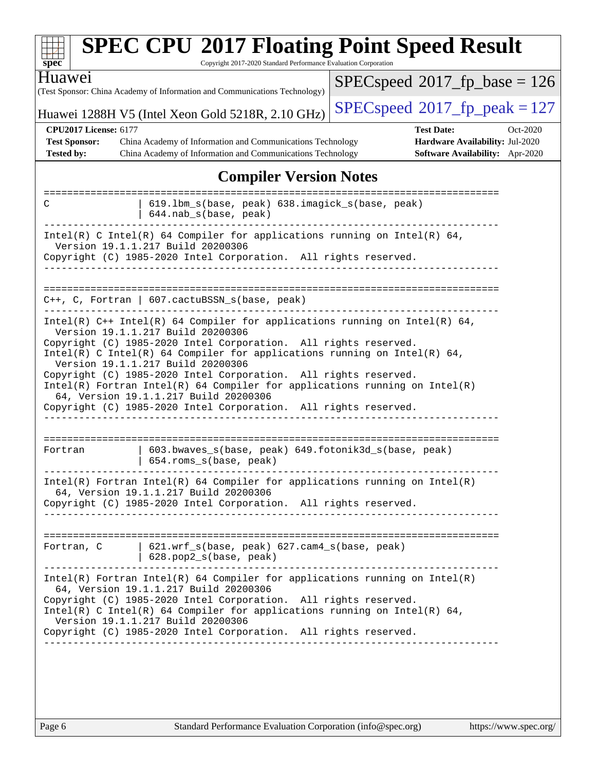| $spec^*$                                                                                                                                                                                                                                                                                                                                                                                                                                                                                                                                                             | Copyright 2017-2020 Standard Performance Evaluation Corporation                                                                                                                                                                                                                                                                                                                                                | <b>SPEC CPU®2017 Floating Point Speed Result</b>                                                    |  |  |  |  |
|----------------------------------------------------------------------------------------------------------------------------------------------------------------------------------------------------------------------------------------------------------------------------------------------------------------------------------------------------------------------------------------------------------------------------------------------------------------------------------------------------------------------------------------------------------------------|----------------------------------------------------------------------------------------------------------------------------------------------------------------------------------------------------------------------------------------------------------------------------------------------------------------------------------------------------------------------------------------------------------------|-----------------------------------------------------------------------------------------------------|--|--|--|--|
| Huawei                                                                                                                                                                                                                                                                                                                                                                                                                                                                                                                                                               | (Test Sponsor: China Academy of Information and Communications Technology)                                                                                                                                                                                                                                                                                                                                     | $SPEC speed^{\circ}2017\_fp\_base = 126$                                                            |  |  |  |  |
| $SPEC speed^{\circ}2017$ fp peak = 127<br>Huawei 1288H V5 (Intel Xeon Gold 5218R, 2.10 GHz)                                                                                                                                                                                                                                                                                                                                                                                                                                                                          |                                                                                                                                                                                                                                                                                                                                                                                                                |                                                                                                     |  |  |  |  |
| <b>CPU2017 License: 6177</b><br><b>Test Sponsor:</b><br><b>Tested by:</b>                                                                                                                                                                                                                                                                                                                                                                                                                                                                                            | China Academy of Information and Communications Technology<br>China Academy of Information and Communications Technology                                                                                                                                                                                                                                                                                       | <b>Test Date:</b><br>Oct-2020<br>Hardware Availability: Jul-2020<br>Software Availability: Apr-2020 |  |  |  |  |
|                                                                                                                                                                                                                                                                                                                                                                                                                                                                                                                                                                      | <b>Compiler Version Notes</b>                                                                                                                                                                                                                                                                                                                                                                                  |                                                                                                     |  |  |  |  |
| C                                                                                                                                                                                                                                                                                                                                                                                                                                                                                                                                                                    | 619.1bm_s(base, peak) 638.imagick_s(base, peak)<br>644.nab_s(base, peak)                                                                                                                                                                                                                                                                                                                                       | :====================                                                                               |  |  |  |  |
|                                                                                                                                                                                                                                                                                                                                                                                                                                                                                                                                                                      | Intel(R) C Intel(R) 64 Compiler for applications running on Intel(R) 64,<br>Version 19.1.1.217 Build 20200306<br>Copyright (C) 1985-2020 Intel Corporation. All rights reserved.                                                                                                                                                                                                                               |                                                                                                     |  |  |  |  |
|                                                                                                                                                                                                                                                                                                                                                                                                                                                                                                                                                                      | C++, C, Fortran   607.cactuBSSN_s(base, peak)                                                                                                                                                                                                                                                                                                                                                                  |                                                                                                     |  |  |  |  |
| Intel(R) $C++$ Intel(R) 64 Compiler for applications running on Intel(R) 64,<br>Version 19.1.1.217 Build 20200306<br>Copyright (C) 1985-2020 Intel Corporation. All rights reserved.<br>Intel(R) C Intel(R) 64 Compiler for applications running on Intel(R) 64,<br>Version 19.1.1.217 Build 20200306<br>Copyright (C) 1985-2020 Intel Corporation. All rights reserved.<br>$Intel(R)$ Fortran Intel(R) 64 Compiler for applications running on Intel(R)<br>64, Version 19.1.1.217 Build 20200306<br>Copyright (C) 1985-2020 Intel Corporation. All rights reserved. |                                                                                                                                                                                                                                                                                                                                                                                                                |                                                                                                     |  |  |  |  |
| Fortran                                                                                                                                                                                                                                                                                                                                                                                                                                                                                                                                                              | 603.bwaves_s(base, peak) 649.fotonik3d_s(base, peak)<br>654.roms_s(base, peak)                                                                                                                                                                                                                                                                                                                                 |                                                                                                     |  |  |  |  |
|                                                                                                                                                                                                                                                                                                                                                                                                                                                                                                                                                                      | $Intel(R)$ Fortran Intel(R) 64 Compiler for applications running on Intel(R)<br>64, Version 19.1.1.217 Build 20200306<br>Copyright (C) 1985-2020 Intel Corporation. All rights reserved.<br>-----------                                                                                                                                                                                                        |                                                                                                     |  |  |  |  |
| 621.wrf_s(base, peak) 627.cam4_s(base, peak)<br>Fortran, C<br>628.pop2_s(base, peak)                                                                                                                                                                                                                                                                                                                                                                                                                                                                                 |                                                                                                                                                                                                                                                                                                                                                                                                                |                                                                                                     |  |  |  |  |
|                                                                                                                                                                                                                                                                                                                                                                                                                                                                                                                                                                      | $Intel(R)$ Fortran Intel(R) 64 Compiler for applications running on Intel(R)<br>64, Version 19.1.1.217 Build 20200306<br>Copyright (C) 1985-2020 Intel Corporation. All rights reserved.<br>Intel(R) C Intel(R) 64 Compiler for applications running on Intel(R) 64,<br>Version 19.1.1.217 Build 20200306<br>Copyright (C) 1985-2020 Intel Corporation. All rights reserved.<br>------------------------------ |                                                                                                     |  |  |  |  |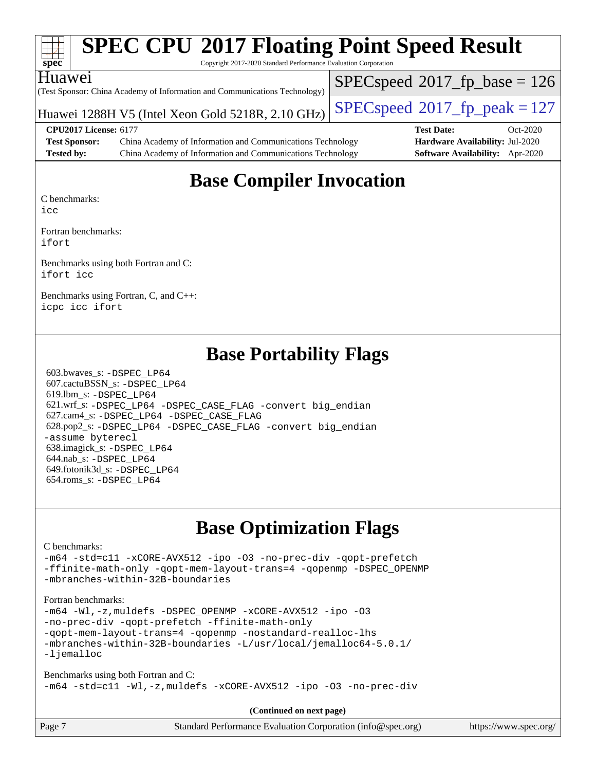| Spec                 |                                                                                              | <b>SPEC CPU®2017 Floating Point Speed Result</b><br>Copyright 2017-2020 Standard Performance Evaluation Corporation |                                 |                                          |            |  |  |
|----------------------|----------------------------------------------------------------------------------------------|---------------------------------------------------------------------------------------------------------------------|---------------------------------|------------------------------------------|------------|--|--|
| Huawei               |                                                                                              | (Test Sponsor: China Academy of Information and Communications Technology)                                          |                                 | $SPEC speed^{\circ}2017\_fp\_base = 126$ |            |  |  |
|                      | $SPEC speed^{\circ}2017$ _fp_peak = 127<br>Huawei 1288H V5 (Intel Xeon Gold 5218R, 2.10 GHz) |                                                                                                                     |                                 |                                          |            |  |  |
|                      | <b>CPU2017 License: 6177</b>                                                                 |                                                                                                                     |                                 | <b>Test Date:</b>                        | $Oct-2020$ |  |  |
| <b>Test Sponsor:</b> |                                                                                              | China Academy of Information and Communications Technology                                                          | Hardware Availability: Jul-2020 |                                          |            |  |  |
| <b>Tested by:</b>    |                                                                                              | China Academy of Information and Communications Technology                                                          |                                 | Software Availability: Apr-2020          |            |  |  |
|                      |                                                                                              |                                                                                                                     |                                 |                                          |            |  |  |

#### **[Base Compiler Invocation](http://www.spec.org/auto/cpu2017/Docs/result-fields.html#BaseCompilerInvocation)**

[C benchmarks:](http://www.spec.org/auto/cpu2017/Docs/result-fields.html#Cbenchmarks)

[icc](http://www.spec.org/cpu2017/results/res2020q4/cpu2017-20201026-24248.flags.html#user_CCbase_intel_icc_66fc1ee009f7361af1fbd72ca7dcefbb700085f36577c54f309893dd4ec40d12360134090235512931783d35fd58c0460139e722d5067c5574d8eaf2b3e37e92)

[Fortran benchmarks](http://www.spec.org/auto/cpu2017/Docs/result-fields.html#Fortranbenchmarks): [ifort](http://www.spec.org/cpu2017/results/res2020q4/cpu2017-20201026-24248.flags.html#user_FCbase_intel_ifort_8111460550e3ca792625aed983ce982f94888b8b503583aa7ba2b8303487b4d8a21a13e7191a45c5fd58ff318f48f9492884d4413fa793fd88dd292cad7027ca)

[Benchmarks using both Fortran and C:](http://www.spec.org/auto/cpu2017/Docs/result-fields.html#BenchmarksusingbothFortranandC) [ifort](http://www.spec.org/cpu2017/results/res2020q4/cpu2017-20201026-24248.flags.html#user_CC_FCbase_intel_ifort_8111460550e3ca792625aed983ce982f94888b8b503583aa7ba2b8303487b4d8a21a13e7191a45c5fd58ff318f48f9492884d4413fa793fd88dd292cad7027ca) [icc](http://www.spec.org/cpu2017/results/res2020q4/cpu2017-20201026-24248.flags.html#user_CC_FCbase_intel_icc_66fc1ee009f7361af1fbd72ca7dcefbb700085f36577c54f309893dd4ec40d12360134090235512931783d35fd58c0460139e722d5067c5574d8eaf2b3e37e92)

[Benchmarks using Fortran, C, and C++:](http://www.spec.org/auto/cpu2017/Docs/result-fields.html#BenchmarksusingFortranCandCXX) [icpc](http://www.spec.org/cpu2017/results/res2020q4/cpu2017-20201026-24248.flags.html#user_CC_CXX_FCbase_intel_icpc_c510b6838c7f56d33e37e94d029a35b4a7bccf4766a728ee175e80a419847e808290a9b78be685c44ab727ea267ec2f070ec5dc83b407c0218cded6866a35d07) [icc](http://www.spec.org/cpu2017/results/res2020q4/cpu2017-20201026-24248.flags.html#user_CC_CXX_FCbase_intel_icc_66fc1ee009f7361af1fbd72ca7dcefbb700085f36577c54f309893dd4ec40d12360134090235512931783d35fd58c0460139e722d5067c5574d8eaf2b3e37e92) [ifort](http://www.spec.org/cpu2017/results/res2020q4/cpu2017-20201026-24248.flags.html#user_CC_CXX_FCbase_intel_ifort_8111460550e3ca792625aed983ce982f94888b8b503583aa7ba2b8303487b4d8a21a13e7191a45c5fd58ff318f48f9492884d4413fa793fd88dd292cad7027ca)

#### **[Base Portability Flags](http://www.spec.org/auto/cpu2017/Docs/result-fields.html#BasePortabilityFlags)**

 603.bwaves\_s: [-DSPEC\\_LP64](http://www.spec.org/cpu2017/results/res2020q4/cpu2017-20201026-24248.flags.html#suite_basePORTABILITY603_bwaves_s_DSPEC_LP64) 607.cactuBSSN\_s: [-DSPEC\\_LP64](http://www.spec.org/cpu2017/results/res2020q4/cpu2017-20201026-24248.flags.html#suite_basePORTABILITY607_cactuBSSN_s_DSPEC_LP64) 619.lbm\_s: [-DSPEC\\_LP64](http://www.spec.org/cpu2017/results/res2020q4/cpu2017-20201026-24248.flags.html#suite_basePORTABILITY619_lbm_s_DSPEC_LP64) 621.wrf\_s: [-DSPEC\\_LP64](http://www.spec.org/cpu2017/results/res2020q4/cpu2017-20201026-24248.flags.html#suite_basePORTABILITY621_wrf_s_DSPEC_LP64) [-DSPEC\\_CASE\\_FLAG](http://www.spec.org/cpu2017/results/res2020q4/cpu2017-20201026-24248.flags.html#b621.wrf_s_baseCPORTABILITY_DSPEC_CASE_FLAG) [-convert big\\_endian](http://www.spec.org/cpu2017/results/res2020q4/cpu2017-20201026-24248.flags.html#user_baseFPORTABILITY621_wrf_s_convert_big_endian_c3194028bc08c63ac5d04de18c48ce6d347e4e562e8892b8bdbdc0214820426deb8554edfa529a3fb25a586e65a3d812c835984020483e7e73212c4d31a38223) 627.cam4\_s: [-DSPEC\\_LP64](http://www.spec.org/cpu2017/results/res2020q4/cpu2017-20201026-24248.flags.html#suite_basePORTABILITY627_cam4_s_DSPEC_LP64) [-DSPEC\\_CASE\\_FLAG](http://www.spec.org/cpu2017/results/res2020q4/cpu2017-20201026-24248.flags.html#b627.cam4_s_baseCPORTABILITY_DSPEC_CASE_FLAG) 628.pop2\_s: [-DSPEC\\_LP64](http://www.spec.org/cpu2017/results/res2020q4/cpu2017-20201026-24248.flags.html#suite_basePORTABILITY628_pop2_s_DSPEC_LP64) [-DSPEC\\_CASE\\_FLAG](http://www.spec.org/cpu2017/results/res2020q4/cpu2017-20201026-24248.flags.html#b628.pop2_s_baseCPORTABILITY_DSPEC_CASE_FLAG) [-convert big\\_endian](http://www.spec.org/cpu2017/results/res2020q4/cpu2017-20201026-24248.flags.html#user_baseFPORTABILITY628_pop2_s_convert_big_endian_c3194028bc08c63ac5d04de18c48ce6d347e4e562e8892b8bdbdc0214820426deb8554edfa529a3fb25a586e65a3d812c835984020483e7e73212c4d31a38223) [-assume byterecl](http://www.spec.org/cpu2017/results/res2020q4/cpu2017-20201026-24248.flags.html#user_baseFPORTABILITY628_pop2_s_assume_byterecl_7e47d18b9513cf18525430bbf0f2177aa9bf368bc7a059c09b2c06a34b53bd3447c950d3f8d6c70e3faf3a05c8557d66a5798b567902e8849adc142926523472) 638.imagick\_s: [-DSPEC\\_LP64](http://www.spec.org/cpu2017/results/res2020q4/cpu2017-20201026-24248.flags.html#suite_basePORTABILITY638_imagick_s_DSPEC_LP64) 644.nab\_s: [-DSPEC\\_LP64](http://www.spec.org/cpu2017/results/res2020q4/cpu2017-20201026-24248.flags.html#suite_basePORTABILITY644_nab_s_DSPEC_LP64) 649.fotonik3d\_s: [-DSPEC\\_LP64](http://www.spec.org/cpu2017/results/res2020q4/cpu2017-20201026-24248.flags.html#suite_basePORTABILITY649_fotonik3d_s_DSPEC_LP64) 654.roms\_s: [-DSPEC\\_LP64](http://www.spec.org/cpu2017/results/res2020q4/cpu2017-20201026-24248.flags.html#suite_basePORTABILITY654_roms_s_DSPEC_LP64)

### **[Base Optimization Flags](http://www.spec.org/auto/cpu2017/Docs/result-fields.html#BaseOptimizationFlags)**

#### [C benchmarks](http://www.spec.org/auto/cpu2017/Docs/result-fields.html#Cbenchmarks):

[-m64](http://www.spec.org/cpu2017/results/res2020q4/cpu2017-20201026-24248.flags.html#user_CCbase_m64-icc) [-std=c11](http://www.spec.org/cpu2017/results/res2020q4/cpu2017-20201026-24248.flags.html#user_CCbase_std-icc-std_0e1c27790398a4642dfca32ffe6c27b5796f9c2d2676156f2e42c9c44eaad0c049b1cdb667a270c34d979996257aeb8fc440bfb01818dbc9357bd9d174cb8524) [-xCORE-AVX512](http://www.spec.org/cpu2017/results/res2020q4/cpu2017-20201026-24248.flags.html#user_CCbase_f-xCORE-AVX512) [-ipo](http://www.spec.org/cpu2017/results/res2020q4/cpu2017-20201026-24248.flags.html#user_CCbase_f-ipo) [-O3](http://www.spec.org/cpu2017/results/res2020q4/cpu2017-20201026-24248.flags.html#user_CCbase_f-O3) [-no-prec-div](http://www.spec.org/cpu2017/results/res2020q4/cpu2017-20201026-24248.flags.html#user_CCbase_f-no-prec-div) [-qopt-prefetch](http://www.spec.org/cpu2017/results/res2020q4/cpu2017-20201026-24248.flags.html#user_CCbase_f-qopt-prefetch) [-ffinite-math-only](http://www.spec.org/cpu2017/results/res2020q4/cpu2017-20201026-24248.flags.html#user_CCbase_f_finite_math_only_cb91587bd2077682c4b38af759c288ed7c732db004271a9512da14a4f8007909a5f1427ecbf1a0fb78ff2a814402c6114ac565ca162485bbcae155b5e4258871) [-qopt-mem-layout-trans=4](http://www.spec.org/cpu2017/results/res2020q4/cpu2017-20201026-24248.flags.html#user_CCbase_f-qopt-mem-layout-trans_fa39e755916c150a61361b7846f310bcdf6f04e385ef281cadf3647acec3f0ae266d1a1d22d972a7087a248fd4e6ca390a3634700869573d231a252c784941a8) [-qopenmp](http://www.spec.org/cpu2017/results/res2020q4/cpu2017-20201026-24248.flags.html#user_CCbase_qopenmp_16be0c44f24f464004c6784a7acb94aca937f053568ce72f94b139a11c7c168634a55f6653758ddd83bcf7b8463e8028bb0b48b77bcddc6b78d5d95bb1df2967) [-DSPEC\\_OPENMP](http://www.spec.org/cpu2017/results/res2020q4/cpu2017-20201026-24248.flags.html#suite_CCbase_DSPEC_OPENMP) [-mbranches-within-32B-boundaries](http://www.spec.org/cpu2017/results/res2020q4/cpu2017-20201026-24248.flags.html#user_CCbase_f-mbranches-within-32B-boundaries)

#### [Fortran benchmarks](http://www.spec.org/auto/cpu2017/Docs/result-fields.html#Fortranbenchmarks):

```
-m64 -Wl,-z,muldefs -DSPEC_OPENMP -xCORE-AVX512 -ipo -O3
-no-prec-div -qopt-prefetch -ffinite-math-only
-qopt-mem-layout-trans=4 -qopenmp -nostandard-realloc-lhs
-mbranches-within-32B-boundaries -L/usr/local/jemalloc64-5.0.1/
-ljemalloc
```
[Benchmarks using both Fortran and C](http://www.spec.org/auto/cpu2017/Docs/result-fields.html#BenchmarksusingbothFortranandC): [-m64](http://www.spec.org/cpu2017/results/res2020q4/cpu2017-20201026-24248.flags.html#user_CC_FCbase_m64-icc) [-std=c11](http://www.spec.org/cpu2017/results/res2020q4/cpu2017-20201026-24248.flags.html#user_CC_FCbase_std-icc-std_0e1c27790398a4642dfca32ffe6c27b5796f9c2d2676156f2e42c9c44eaad0c049b1cdb667a270c34d979996257aeb8fc440bfb01818dbc9357bd9d174cb8524) [-Wl,-z,muldefs](http://www.spec.org/cpu2017/results/res2020q4/cpu2017-20201026-24248.flags.html#user_CC_FCbase_link_force_multiple1_b4cbdb97b34bdee9ceefcfe54f4c8ea74255f0b02a4b23e853cdb0e18eb4525ac79b5a88067c842dd0ee6996c24547a27a4b99331201badda8798ef8a743f577) [-xCORE-AVX512](http://www.spec.org/cpu2017/results/res2020q4/cpu2017-20201026-24248.flags.html#user_CC_FCbase_f-xCORE-AVX512) [-ipo](http://www.spec.org/cpu2017/results/res2020q4/cpu2017-20201026-24248.flags.html#user_CC_FCbase_f-ipo) [-O3](http://www.spec.org/cpu2017/results/res2020q4/cpu2017-20201026-24248.flags.html#user_CC_FCbase_f-O3) [-no-prec-div](http://www.spec.org/cpu2017/results/res2020q4/cpu2017-20201026-24248.flags.html#user_CC_FCbase_f-no-prec-div)

**(Continued on next page)**

| Page 7 | Standard Performance Evaluation Corporation (info@spec.org) | https://www.spec.org/ |
|--------|-------------------------------------------------------------|-----------------------|
|        |                                                             |                       |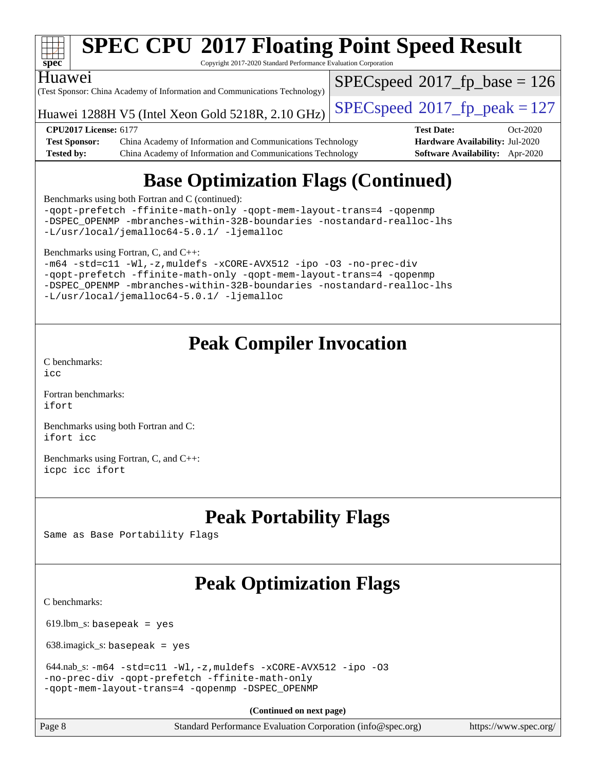

# **[SPEC CPU](http://www.spec.org/auto/cpu2017/Docs/result-fields.html#SPECCPU2017FloatingPointSpeedResult)[2017 Floating Point Speed Result](http://www.spec.org/auto/cpu2017/Docs/result-fields.html#SPECCPU2017FloatingPointSpeedResult)**

Copyright 2017-2020 Standard Performance Evaluation Corporation

#### Huawei

(Test Sponsor: China Academy of Information and Communications Technology)

[SPECspeed](http://www.spec.org/auto/cpu2017/Docs/result-fields.html#SPECspeed2017fpbase)<sup>®</sup>2017 fp base = 126

Huawei 1288H V5 (Intel Xeon Gold 5218R, 2.10 GHz)  $\vert$  [SPECspeed](http://www.spec.org/auto/cpu2017/Docs/result-fields.html#SPECspeed2017fppeak)®[2017\\_fp\\_peak = 1](http://www.spec.org/auto/cpu2017/Docs/result-fields.html#SPECspeed2017fppeak)27

**[Test Sponsor:](http://www.spec.org/auto/cpu2017/Docs/result-fields.html#TestSponsor)** China Academy of Information and Communications Technology **[Hardware Availability:](http://www.spec.org/auto/cpu2017/Docs/result-fields.html#HardwareAvailability)** Jul-2020 **[Tested by:](http://www.spec.org/auto/cpu2017/Docs/result-fields.html#Testedby)** China Academy of Information and Communications Technology **[Software Availability:](http://www.spec.org/auto/cpu2017/Docs/result-fields.html#SoftwareAvailability)** Apr-2020

**[CPU2017 License:](http://www.spec.org/auto/cpu2017/Docs/result-fields.html#CPU2017License)** 6177 **[Test Date:](http://www.spec.org/auto/cpu2017/Docs/result-fields.html#TestDate)** Oct-2020

### **[Base Optimization Flags \(Continued\)](http://www.spec.org/auto/cpu2017/Docs/result-fields.html#BaseOptimizationFlags)**

[Benchmarks using both Fortran and C](http://www.spec.org/auto/cpu2017/Docs/result-fields.html#BenchmarksusingbothFortranandC) (continued):

[-qopt-prefetch](http://www.spec.org/cpu2017/results/res2020q4/cpu2017-20201026-24248.flags.html#user_CC_FCbase_f-qopt-prefetch) [-ffinite-math-only](http://www.spec.org/cpu2017/results/res2020q4/cpu2017-20201026-24248.flags.html#user_CC_FCbase_f_finite_math_only_cb91587bd2077682c4b38af759c288ed7c732db004271a9512da14a4f8007909a5f1427ecbf1a0fb78ff2a814402c6114ac565ca162485bbcae155b5e4258871) [-qopt-mem-layout-trans=4](http://www.spec.org/cpu2017/results/res2020q4/cpu2017-20201026-24248.flags.html#user_CC_FCbase_f-qopt-mem-layout-trans_fa39e755916c150a61361b7846f310bcdf6f04e385ef281cadf3647acec3f0ae266d1a1d22d972a7087a248fd4e6ca390a3634700869573d231a252c784941a8) [-qopenmp](http://www.spec.org/cpu2017/results/res2020q4/cpu2017-20201026-24248.flags.html#user_CC_FCbase_qopenmp_16be0c44f24f464004c6784a7acb94aca937f053568ce72f94b139a11c7c168634a55f6653758ddd83bcf7b8463e8028bb0b48b77bcddc6b78d5d95bb1df2967) [-DSPEC\\_OPENMP](http://www.spec.org/cpu2017/results/res2020q4/cpu2017-20201026-24248.flags.html#suite_CC_FCbase_DSPEC_OPENMP) [-mbranches-within-32B-boundaries](http://www.spec.org/cpu2017/results/res2020q4/cpu2017-20201026-24248.flags.html#user_CC_FCbase_f-mbranches-within-32B-boundaries) [-nostandard-realloc-lhs](http://www.spec.org/cpu2017/results/res2020q4/cpu2017-20201026-24248.flags.html#user_CC_FCbase_f_2003_std_realloc_82b4557e90729c0f113870c07e44d33d6f5a304b4f63d4c15d2d0f1fab99f5daaed73bdb9275d9ae411527f28b936061aa8b9c8f2d63842963b95c9dd6426b8a) [-L/usr/local/jemalloc64-5.0.1/](http://www.spec.org/cpu2017/results/res2020q4/cpu2017-20201026-24248.flags.html#user_CC_FCbase_jemalloc_link_path64_1_7ef78e948e26f16679f66279b8b3f63c04c9803b9e8787420a99cca8bda14a41adf28ce5417d152fa73cc6ac5779a3e22f3d8249efa1649e07fa83494079cd98) [-ljemalloc](http://www.spec.org/cpu2017/results/res2020q4/cpu2017-20201026-24248.flags.html#user_CC_FCbase_jemalloc_link_lib_d1249b907c500fa1c0672f44f562e3d0f79738ae9e3c4a9c376d49f265a04b9c99b167ecedbf6711b3085be911c67ff61f150a17b3472be731631ba4d0471706)

[Benchmarks using Fortran, C, and C++:](http://www.spec.org/auto/cpu2017/Docs/result-fields.html#BenchmarksusingFortranCandCXX)

[-m64](http://www.spec.org/cpu2017/results/res2020q4/cpu2017-20201026-24248.flags.html#user_CC_CXX_FCbase_m64-icc) [-std=c11](http://www.spec.org/cpu2017/results/res2020q4/cpu2017-20201026-24248.flags.html#user_CC_CXX_FCbase_std-icc-std_0e1c27790398a4642dfca32ffe6c27b5796f9c2d2676156f2e42c9c44eaad0c049b1cdb667a270c34d979996257aeb8fc440bfb01818dbc9357bd9d174cb8524) [-Wl,-z,muldefs](http://www.spec.org/cpu2017/results/res2020q4/cpu2017-20201026-24248.flags.html#user_CC_CXX_FCbase_link_force_multiple1_b4cbdb97b34bdee9ceefcfe54f4c8ea74255f0b02a4b23e853cdb0e18eb4525ac79b5a88067c842dd0ee6996c24547a27a4b99331201badda8798ef8a743f577) [-xCORE-AVX512](http://www.spec.org/cpu2017/results/res2020q4/cpu2017-20201026-24248.flags.html#user_CC_CXX_FCbase_f-xCORE-AVX512) [-ipo](http://www.spec.org/cpu2017/results/res2020q4/cpu2017-20201026-24248.flags.html#user_CC_CXX_FCbase_f-ipo) [-O3](http://www.spec.org/cpu2017/results/res2020q4/cpu2017-20201026-24248.flags.html#user_CC_CXX_FCbase_f-O3) [-no-prec-div](http://www.spec.org/cpu2017/results/res2020q4/cpu2017-20201026-24248.flags.html#user_CC_CXX_FCbase_f-no-prec-div) [-qopt-prefetch](http://www.spec.org/cpu2017/results/res2020q4/cpu2017-20201026-24248.flags.html#user_CC_CXX_FCbase_f-qopt-prefetch) [-ffinite-math-only](http://www.spec.org/cpu2017/results/res2020q4/cpu2017-20201026-24248.flags.html#user_CC_CXX_FCbase_f_finite_math_only_cb91587bd2077682c4b38af759c288ed7c732db004271a9512da14a4f8007909a5f1427ecbf1a0fb78ff2a814402c6114ac565ca162485bbcae155b5e4258871) [-qopt-mem-layout-trans=4](http://www.spec.org/cpu2017/results/res2020q4/cpu2017-20201026-24248.flags.html#user_CC_CXX_FCbase_f-qopt-mem-layout-trans_fa39e755916c150a61361b7846f310bcdf6f04e385ef281cadf3647acec3f0ae266d1a1d22d972a7087a248fd4e6ca390a3634700869573d231a252c784941a8) [-qopenmp](http://www.spec.org/cpu2017/results/res2020q4/cpu2017-20201026-24248.flags.html#user_CC_CXX_FCbase_qopenmp_16be0c44f24f464004c6784a7acb94aca937f053568ce72f94b139a11c7c168634a55f6653758ddd83bcf7b8463e8028bb0b48b77bcddc6b78d5d95bb1df2967) [-DSPEC\\_OPENMP](http://www.spec.org/cpu2017/results/res2020q4/cpu2017-20201026-24248.flags.html#suite_CC_CXX_FCbase_DSPEC_OPENMP) [-mbranches-within-32B-boundaries](http://www.spec.org/cpu2017/results/res2020q4/cpu2017-20201026-24248.flags.html#user_CC_CXX_FCbase_f-mbranches-within-32B-boundaries) [-nostandard-realloc-lhs](http://www.spec.org/cpu2017/results/res2020q4/cpu2017-20201026-24248.flags.html#user_CC_CXX_FCbase_f_2003_std_realloc_82b4557e90729c0f113870c07e44d33d6f5a304b4f63d4c15d2d0f1fab99f5daaed73bdb9275d9ae411527f28b936061aa8b9c8f2d63842963b95c9dd6426b8a) [-L/usr/local/jemalloc64-5.0.1/](http://www.spec.org/cpu2017/results/res2020q4/cpu2017-20201026-24248.flags.html#user_CC_CXX_FCbase_jemalloc_link_path64_1_7ef78e948e26f16679f66279b8b3f63c04c9803b9e8787420a99cca8bda14a41adf28ce5417d152fa73cc6ac5779a3e22f3d8249efa1649e07fa83494079cd98) [-ljemalloc](http://www.spec.org/cpu2017/results/res2020q4/cpu2017-20201026-24248.flags.html#user_CC_CXX_FCbase_jemalloc_link_lib_d1249b907c500fa1c0672f44f562e3d0f79738ae9e3c4a9c376d49f265a04b9c99b167ecedbf6711b3085be911c67ff61f150a17b3472be731631ba4d0471706)

### **[Peak Compiler Invocation](http://www.spec.org/auto/cpu2017/Docs/result-fields.html#PeakCompilerInvocation)**

[C benchmarks](http://www.spec.org/auto/cpu2017/Docs/result-fields.html#Cbenchmarks):

 $i$ cc

[Fortran benchmarks](http://www.spec.org/auto/cpu2017/Docs/result-fields.html#Fortranbenchmarks): [ifort](http://www.spec.org/cpu2017/results/res2020q4/cpu2017-20201026-24248.flags.html#user_FCpeak_intel_ifort_8111460550e3ca792625aed983ce982f94888b8b503583aa7ba2b8303487b4d8a21a13e7191a45c5fd58ff318f48f9492884d4413fa793fd88dd292cad7027ca)

[Benchmarks using both Fortran and C](http://www.spec.org/auto/cpu2017/Docs/result-fields.html#BenchmarksusingbothFortranandC): [ifort](http://www.spec.org/cpu2017/results/res2020q4/cpu2017-20201026-24248.flags.html#user_CC_FCpeak_intel_ifort_8111460550e3ca792625aed983ce982f94888b8b503583aa7ba2b8303487b4d8a21a13e7191a45c5fd58ff318f48f9492884d4413fa793fd88dd292cad7027ca) [icc](http://www.spec.org/cpu2017/results/res2020q4/cpu2017-20201026-24248.flags.html#user_CC_FCpeak_intel_icc_66fc1ee009f7361af1fbd72ca7dcefbb700085f36577c54f309893dd4ec40d12360134090235512931783d35fd58c0460139e722d5067c5574d8eaf2b3e37e92)

[Benchmarks using Fortran, C, and C++:](http://www.spec.org/auto/cpu2017/Docs/result-fields.html#BenchmarksusingFortranCandCXX) [icpc](http://www.spec.org/cpu2017/results/res2020q4/cpu2017-20201026-24248.flags.html#user_CC_CXX_FCpeak_intel_icpc_c510b6838c7f56d33e37e94d029a35b4a7bccf4766a728ee175e80a419847e808290a9b78be685c44ab727ea267ec2f070ec5dc83b407c0218cded6866a35d07) [icc](http://www.spec.org/cpu2017/results/res2020q4/cpu2017-20201026-24248.flags.html#user_CC_CXX_FCpeak_intel_icc_66fc1ee009f7361af1fbd72ca7dcefbb700085f36577c54f309893dd4ec40d12360134090235512931783d35fd58c0460139e722d5067c5574d8eaf2b3e37e92) [ifort](http://www.spec.org/cpu2017/results/res2020q4/cpu2017-20201026-24248.flags.html#user_CC_CXX_FCpeak_intel_ifort_8111460550e3ca792625aed983ce982f94888b8b503583aa7ba2b8303487b4d8a21a13e7191a45c5fd58ff318f48f9492884d4413fa793fd88dd292cad7027ca)

### **[Peak Portability Flags](http://www.spec.org/auto/cpu2017/Docs/result-fields.html#PeakPortabilityFlags)**

Same as Base Portability Flags

## **[Peak Optimization Flags](http://www.spec.org/auto/cpu2017/Docs/result-fields.html#PeakOptimizationFlags)**

[C benchmarks](http://www.spec.org/auto/cpu2017/Docs/result-fields.html#Cbenchmarks):

 $619.$ lbm\_s: basepeak = yes

638.imagick\_s: basepeak = yes

```
 644.nab_s: -m64 -std=c11 -Wl,-z,muldefs -xCORE-AVX512 -ipo -O3
-no-prec-div -qopt-prefetch -ffinite-math-only
-qopt-mem-layout-trans=4 -qopenmp -DSPEC_OPENMP
```
**(Continued on next page)**

Page 8 Standard Performance Evaluation Corporation [\(info@spec.org\)](mailto:info@spec.org) <https://www.spec.org/>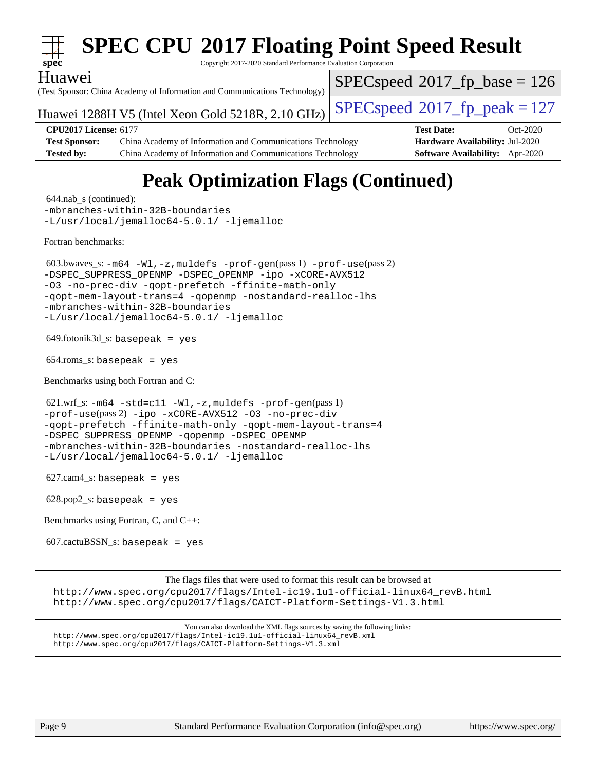

```
 603.bwaves_s: -m64 -Wl,-z,muldefs -prof-gen(pass 1) -prof-use(pass 2)
-ipo-xCORE-AVX512
-O3 -no-prec-div -qopt-prefetch -ffinite-math-only
-qopt-mem-layout-trans=4 -qopenmp -nostandard-realloc-lhs
-mbranches-within-32B-boundaries
```

```
-L/usr/local/jemalloc64-5.0.1/ -ljemalloc
```
649.fotonik3d\_s: basepeak = yes

654.roms\_s: basepeak = yes

[Benchmarks using both Fortran and C](http://www.spec.org/auto/cpu2017/Docs/result-fields.html#BenchmarksusingbothFortranandC):

 $621.wrf_s$ :  $-m64 -std = c11 -wl$  $-m64 -std = c11 -wl$ ,  $-z$ , muldefs  $-prof-gen(pass 1)$  $-prof-gen(pass 1)$ [-prof-use](http://www.spec.org/cpu2017/results/res2020q4/cpu2017-20201026-24248.flags.html#user_peakPASS2_CFLAGSPASS2_FFLAGSPASS2_LDFLAGS621_wrf_s_prof_use_1a21ceae95f36a2b53c25747139a6c16ca95bd9def2a207b4f0849963b97e94f5260e30a0c64f4bb623698870e679ca08317ef8150905d41bd88c6f78df73f19)(pass 2) [-ipo](http://www.spec.org/cpu2017/results/res2020q4/cpu2017-20201026-24248.flags.html#user_peakPASS1_COPTIMIZEPASS1_FOPTIMIZEPASS2_COPTIMIZEPASS2_FOPTIMIZE621_wrf_s_f-ipo) [-xCORE-AVX512](http://www.spec.org/cpu2017/results/res2020q4/cpu2017-20201026-24248.flags.html#user_peakPASS2_COPTIMIZEPASS2_FOPTIMIZE621_wrf_s_f-xCORE-AVX512) [-O3](http://www.spec.org/cpu2017/results/res2020q4/cpu2017-20201026-24248.flags.html#user_peakPASS1_COPTIMIZEPASS1_FOPTIMIZEPASS2_COPTIMIZEPASS2_FOPTIMIZE621_wrf_s_f-O3) [-no-prec-div](http://www.spec.org/cpu2017/results/res2020q4/cpu2017-20201026-24248.flags.html#user_peakPASS1_COPTIMIZEPASS1_FOPTIMIZEPASS2_COPTIMIZEPASS2_FOPTIMIZE621_wrf_s_f-no-prec-div) [-qopt-prefetch](http://www.spec.org/cpu2017/results/res2020q4/cpu2017-20201026-24248.flags.html#user_peakPASS1_COPTIMIZEPASS1_FOPTIMIZEPASS2_COPTIMIZEPASS2_FOPTIMIZE621_wrf_s_f-qopt-prefetch) [-ffinite-math-only](http://www.spec.org/cpu2017/results/res2020q4/cpu2017-20201026-24248.flags.html#user_peakPASS1_COPTIMIZEPASS1_FOPTIMIZEPASS2_COPTIMIZEPASS2_FOPTIMIZE621_wrf_s_f_finite_math_only_cb91587bd2077682c4b38af759c288ed7c732db004271a9512da14a4f8007909a5f1427ecbf1a0fb78ff2a814402c6114ac565ca162485bbcae155b5e4258871) [-qopt-mem-layout-trans=4](http://www.spec.org/cpu2017/results/res2020q4/cpu2017-20201026-24248.flags.html#user_peakPASS1_COPTIMIZEPASS1_FOPTIMIZEPASS2_COPTIMIZEPASS2_FOPTIMIZE621_wrf_s_f-qopt-mem-layout-trans_fa39e755916c150a61361b7846f310bcdf6f04e385ef281cadf3647acec3f0ae266d1a1d22d972a7087a248fd4e6ca390a3634700869573d231a252c784941a8) [-DSPEC\\_SUPPRESS\\_OPENMP](http://www.spec.org/cpu2017/results/res2020q4/cpu2017-20201026-24248.flags.html#suite_peakPASS1_COPTIMIZEPASS1_FOPTIMIZE621_wrf_s_DSPEC_SUPPRESS_OPENMP) [-qopenmp](http://www.spec.org/cpu2017/results/res2020q4/cpu2017-20201026-24248.flags.html#user_peakPASS2_COPTIMIZEPASS2_FOPTIMIZE621_wrf_s_qopenmp_16be0c44f24f464004c6784a7acb94aca937f053568ce72f94b139a11c7c168634a55f6653758ddd83bcf7b8463e8028bb0b48b77bcddc6b78d5d95bb1df2967) [-DSPEC\\_OPENMP](http://www.spec.org/cpu2017/results/res2020q4/cpu2017-20201026-24248.flags.html#suite_peakPASS2_COPTIMIZEPASS2_FOPTIMIZE621_wrf_s_DSPEC_OPENMP) [-mbranches-within-32B-boundaries](http://www.spec.org/cpu2017/results/res2020q4/cpu2017-20201026-24248.flags.html#user_peakEXTRA_COPTIMIZEEXTRA_FOPTIMIZE621_wrf_s_f-mbranches-within-32B-boundaries) [-nostandard-realloc-lhs](http://www.spec.org/cpu2017/results/res2020q4/cpu2017-20201026-24248.flags.html#user_peakEXTRA_FOPTIMIZE621_wrf_s_f_2003_std_realloc_82b4557e90729c0f113870c07e44d33d6f5a304b4f63d4c15d2d0f1fab99f5daaed73bdb9275d9ae411527f28b936061aa8b9c8f2d63842963b95c9dd6426b8a) [-L/usr/local/jemalloc64-5.0.1/](http://www.spec.org/cpu2017/results/res2020q4/cpu2017-20201026-24248.flags.html#user_peakEXTRA_LIBS621_wrf_s_jemalloc_link_path64_1_7ef78e948e26f16679f66279b8b3f63c04c9803b9e8787420a99cca8bda14a41adf28ce5417d152fa73cc6ac5779a3e22f3d8249efa1649e07fa83494079cd98) [-ljemalloc](http://www.spec.org/cpu2017/results/res2020q4/cpu2017-20201026-24248.flags.html#user_peakEXTRA_LIBS621_wrf_s_jemalloc_link_lib_d1249b907c500fa1c0672f44f562e3d0f79738ae9e3c4a9c376d49f265a04b9c99b167ecedbf6711b3085be911c67ff61f150a17b3472be731631ba4d0471706)

 $627$ .cam $4$ <sub>-</sub>s: basepeak = yes

 $628.pop2_s:$  basepeak = yes

[Benchmarks using Fortran, C, and C++:](http://www.spec.org/auto/cpu2017/Docs/result-fields.html#BenchmarksusingFortranCandCXX)

 $607.cactuBSSN_s$ : basepeak = yes

[The flags files that were used to format this result can be browsed at](tmsearch) [http://www.spec.org/cpu2017/flags/Intel-ic19.1u1-official-linux64\\_revB.html](http://www.spec.org/cpu2017/flags/Intel-ic19.1u1-official-linux64_revB.html) <http://www.spec.org/cpu2017/flags/CAICT-Platform-Settings-V1.3.html>

[You can also download the XML flags sources by saving the following links:](tmsearch) [http://www.spec.org/cpu2017/flags/Intel-ic19.1u1-official-linux64\\_revB.xml](http://www.spec.org/cpu2017/flags/Intel-ic19.1u1-official-linux64_revB.xml) <http://www.spec.org/cpu2017/flags/CAICT-Platform-Settings-V1.3.xml>